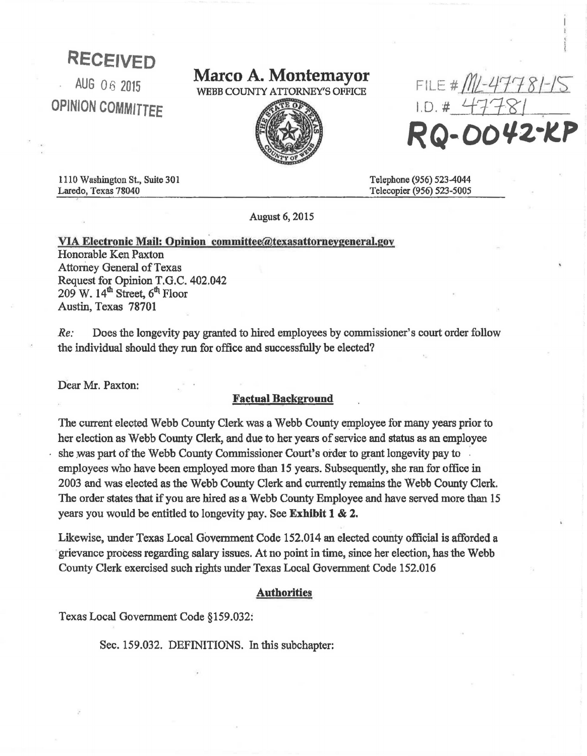## RECEIVED

AUG 06 2015 OPINION COMMITTEF

# **Marco A. Montemayor**<br>WEBB COUNTY ATTORNEY'S OFFICE



 $FILE # M1 - 47781 1.0. # 1118$ -DO42-KP

1110 Washington St., Suite 30 I Laredo, Texas 78040

Telephone (956) 523-4044 Telecopier (956) 523-5005

August 6, 2015

### VIA Electronic Mail: Opinion committee@texasattorneygeneral.gov

Honorable Ken Paxton Attorney General of Texas Request for Opinion T.G.C. 402.042  $209$  W.  $14<sup>th</sup>$  Street,  $6<sup>th</sup>$  Floor Austin, Texas 78701

*Re:* Does the longevity pay granted to hired employees by commissioner's court order follow the individual should they run for office and successfully be elected?

Dear Mr. Paxton:

#### Factual Background

The current elected Webb County Clerk was a Webb County employee for many years prior to her election as Webb County Clerk, and due to her years of service and status as an employee she was part of the Webb County Commissioner Court's order to grant longevity pay to employees who have been employed more than 15 years. Subsequently, she ran for office in 2003 and was elected as the Webb County Clerk and currently remains the Webb County Clerk. The order states that if you are hired as a Webb County Employee and have served more than 15 years you would be entitled to longevity pay. See Exhibit 1 & 2.

Likewise, under Texas Local Government Code 152.014 an elected county official is afforded a grievance process regarding salary issues. At no point in time, since her election, has the Webb County Clerk exercised such rights under Texas Local Government Code 152.016

#### Authorities

Texas Local Government Code §159.032:

Sec. 159.032. DEFINITIONS. In this subchapter: